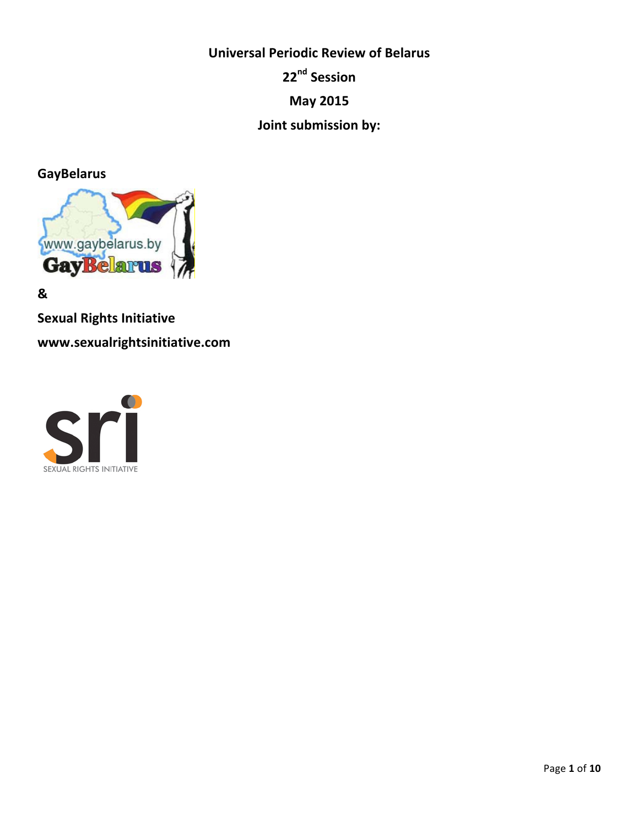**Universal Periodic Review of Belarus 22nd Session May 2015 Joint submission by:** 

**GayBelarus**



**&** 

**Sexual Rights Initiative** 

**www.sexualrightsinitiative.com**

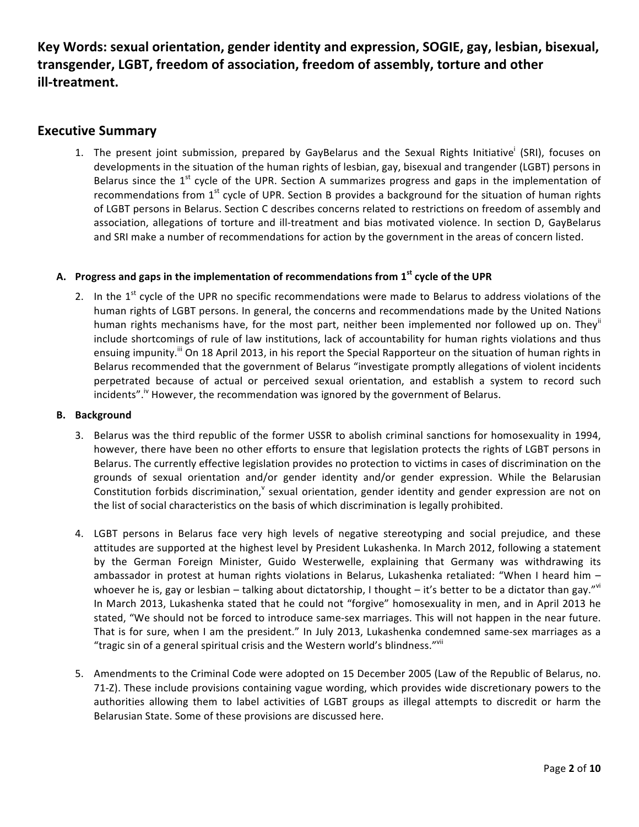Key Words: sexual orientation, gender identity and expression, SOGIE, gay, lesbian, bisexual, transgender, LGBT, freedom of association, freedom of assembly, torture and other **ill-treatment.**

# **Executive Summary**

1. The present joint submission, prepared by GayBelarus and the Sexual Rights Initiative<sup>i</sup> (SRI), focuses on developments in the situation of the human rights of lesbian, gay, bisexual and trangender (LGBT) persons in Belarus since the  $1^{st}$  cycle of the UPR. Section A summarizes progress and gaps in the implementation of recommendations from  $1^{st}$  cycle of UPR. Section B provides a background for the situation of human rights of LGBT persons in Belarus. Section C describes concerns related to restrictions on freedom of assembly and association, allegations of torture and ill-treatment and bias motivated violence. In section D, GayBelarus and SRI make a number of recommendations for action by the government in the areas of concern listed.

## A. Progress and gaps in the implementation of recommendations from 1<sup>st</sup> cycle of the UPR

2. In the 1<sup>st</sup> cycle of the UPR no specific recommendations were made to Belarus to address violations of the human rights of LGBT persons. In general, the concerns and recommendations made by the United Nations human rights mechanisms have, for the most part, neither been implemented nor followed up on. They" include shortcomings of rule of law institutions, lack of accountability for human rights violations and thus ensuing impunity.<sup>iii</sup> On 18 April 2013, in his report the Special Rapporteur on the situation of human rights in Belarus recommended that the government of Belarus "investigate promptly allegations of violent incidents perpetrated because of actual or perceived sexual orientation, and establish a system to record such incidents". $W$  However, the recommendation was ignored by the government of Belarus.

#### **B. Background**

- 3. Belarus was the third republic of the former USSR to abolish criminal sanctions for homosexuality in 1994, however, there have been no other efforts to ensure that legislation protects the rights of LGBT persons in Belarus. The currently effective legislation provides no protection to victims in cases of discrimination on the grounds of sexual orientation and/or gender identity and/or gender expression. While the Belarusian Constitution forbids discrimination,  $\theta$  sexual orientation, gender identity and gender expression are not on the list of social characteristics on the basis of which discrimination is legally prohibited.
- 4. LGBT persons in Belarus face very high levels of negative stereotyping and social prejudice, and these attitudes are supported at the highest level by President Lukashenka. In March 2012, following a statement by the German Foreign Minister, Guido Westerwelle, explaining that Germany was withdrawing its ambassador in protest at human rights violations in Belarus, Lukashenka retaliated: "When I heard him  $$ whoever he is, gay or lesbian – talking about dictatorship, I thought – it's better to be a dictator than gay."<sup>vi</sup> In March 2013, Lukashenka stated that he could not "forgive" homosexuality in men, and in April 2013 he stated, "We should not be forced to introduce same-sex marriages. This will not happen in the near future. That is for sure, when I am the president." In July 2013, Lukashenka condemned same-sex marriages as a "tragic sin of a general spiritual crisis and the Western world's blindness." $\mathrm{v}^{\mathrm{vii}}$
- 5. Amendments to the Criminal Code were adopted on 15 December 2005 (Law of the Republic of Belarus, no. 71-Z). These include provisions containing vague wording, which provides wide discretionary powers to the authorities allowing them to label activities of LGBT groups as illegal attempts to discredit or harm the Belarusian State. Some of these provisions are discussed here.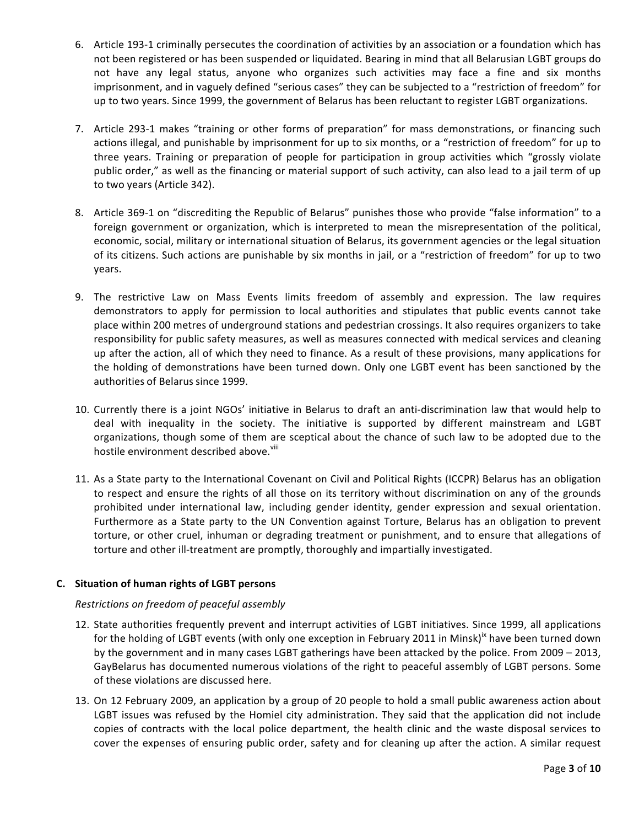- 6. Article 193-1 criminally persecutes the coordination of activities by an association or a foundation which has not been registered or has been suspended or liquidated. Bearing in mind that all Belarusian LGBT groups do not have any legal status, anyone who organizes such activities may face a fine and six months imprisonment, and in vaguely defined "serious cases" they can be subjected to a "restriction of freedom" for up to two years. Since 1999, the government of Belarus has been reluctant to register LGBT organizations.
- 7. Article 293-1 makes "training or other forms of preparation" for mass demonstrations, or financing such actions illegal, and punishable by imprisonment for up to six months, or a "restriction of freedom" for up to three years. Training or preparation of people for participation in group activities which "grossly violate public order," as well as the financing or material support of such activity, can also lead to a jail term of up to two years (Article 342).
- 8. Article 369-1 on "discrediting the Republic of Belarus" punishes those who provide "false information" to a foreign government or organization, which is interpreted to mean the misrepresentation of the political, economic, social, military or international situation of Belarus, its government agencies or the legal situation of its citizens. Such actions are punishable by six months in jail, or a "restriction of freedom" for up to two years.
- 9. The restrictive Law on Mass Events limits freedom of assembly and expression. The law requires demonstrators to apply for permission to local authorities and stipulates that public events cannot take place within 200 metres of underground stations and pedestrian crossings. It also requires organizers to take responsibility for public safety measures, as well as measures connected with medical services and cleaning up after the action, all of which they need to finance. As a result of these provisions, many applications for the holding of demonstrations have been turned down. Only one LGBT event has been sanctioned by the authorities of Belarus since 1999.
- 10. Currently there is a joint NGOs' initiative in Belarus to draft an anti-discrimination law that would help to deal with inequality in the society. The initiative is supported by different mainstream and LGBT organizations, though some of them are sceptical about the chance of such law to be adopted due to the hostile environment described above.<sup>viii</sup>
- 11. As a State party to the International Covenant on Civil and Political Rights (ICCPR) Belarus has an obligation to respect and ensure the rights of all those on its territory without discrimination on any of the grounds prohibited under international law, including gender identity, gender expression and sexual orientation. Furthermore as a State party to the UN Convention against Torture, Belarus has an obligation to prevent torture, or other cruel, inhuman or degrading treatment or punishment, and to ensure that allegations of torture and other ill-treatment are promptly, thoroughly and impartially investigated.

## **C. Situation of human rights of LGBT persons**

## *Restrictions on freedom of peaceful assembly*

- 12. State authorities frequently prevent and interrupt activities of LGBT initiatives. Since 1999, all applications for the holding of LGBT events (with only one exception in February 2011 in Minsk)<sup>ix</sup> have been turned down by the government and in many cases LGBT gatherings have been attacked by the police. From 2009 – 2013, GayBelarus has documented numerous violations of the right to peaceful assembly of LGBT persons. Some of these violations are discussed here.
- 13. On 12 February 2009, an application by a group of 20 people to hold a small public awareness action about LGBT issues was refused by the Homiel city administration. They said that the application did not include copies of contracts with the local police department, the health clinic and the waste disposal services to cover the expenses of ensuring public order, safety and for cleaning up after the action. A similar request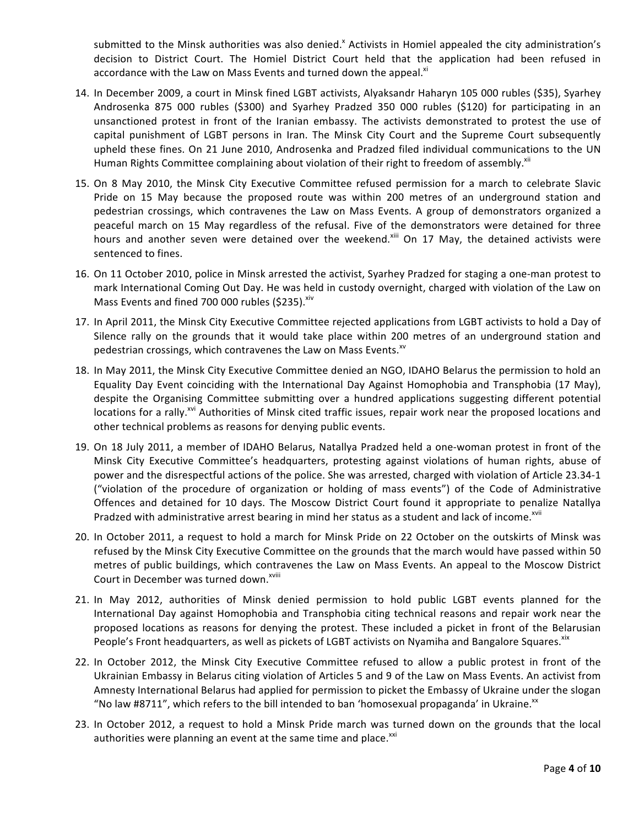submitted to the Minsk authorities was also denied.<sup>x</sup> Activists in Homiel appealed the city administration's decision to District Court. The Homiel District Court held that the application had been refused in accordance with the Law on Mass Events and turned down the appeal.<sup>xi</sup>

- 14. In December 2009, a court in Minsk fined LGBT activists, Alyaksandr Haharyn 105 000 rubles (\$35), Syarhey Androsenka 875 000 rubles (\$300) and Syarhey Pradzed 350 000 rubles (\$120) for participating in an unsanctioned protest in front of the Iranian embassy. The activists demonstrated to protest the use of capital punishment of LGBT persons in Iran. The Minsk City Court and the Supreme Court subsequently upheld these fines. On 21 June 2010, Androsenka and Pradzed filed individual communications to the UN Human Rights Committee complaining about violation of their right to freedom of assembly.<sup>xii</sup>
- 15. On 8 May 2010, the Minsk City Executive Committee refused permission for a march to celebrate Slavic Pride on 15 May because the proposed route was within 200 metres of an underground station and pedestrian crossings, which contravenes the Law on Mass Events. A group of demonstrators organized a peaceful march on 15 May regardless of the refusal. Five of the demonstrators were detained for three hours and another seven were detained over the weekend.<sup>xiii</sup> On 17 May, the detained activists were sentenced to fines.
- 16. On 11 October 2010, police in Minsk arrested the activist, Syarhey Pradzed for staging a one-man protest to mark International Coming Out Day. He was held in custody overnight, charged with violation of the Law on Mass Events and fined 700 000 rubles (\$235). Xiv
- 17. In April 2011, the Minsk City Executive Committee rejected applications from LGBT activists to hold a Day of Silence rally on the grounds that it would take place within 200 metres of an underground station and pedestrian crossings, which contravenes the Law on Mass Events.<sup>xv</sup>
- 18. In May 2011, the Minsk City Executive Committee denied an NGO, IDAHO Belarus the permission to hold an Equality Day Event coinciding with the International Day Against Homophobia and Transphobia (17 May), despite the Organising Committee submitting over a hundred applications suggesting different potential locations for a rally.<sup>xvi</sup> Authorities of Minsk cited traffic issues, repair work near the proposed locations and other technical problems as reasons for denying public events.
- 19. On 18 July 2011, a member of IDAHO Belarus, Natallya Pradzed held a one-woman protest in front of the Minsk City Executive Committee's headquarters, protesting against violations of human rights, abuse of power and the disrespectful actions of the police. She was arrested, charged with violation of Article 23.34-1 ("violation of the procedure of organization or holding of mass events") of the Code of Administrative Offences and detained for 10 days. The Moscow District Court found it appropriate to penalize Natallya Pradzed with administrative arrest bearing in mind her status as a student and lack of income.<sup>xvii</sup>
- 20. In October 2011, a request to hold a march for Minsk Pride on 22 October on the outskirts of Minsk was refused by the Minsk City Executive Committee on the grounds that the march would have passed within 50 metres of public buildings, which contravenes the Law on Mass Events. An appeal to the Moscow District Court in December was turned down.<sup>xviii</sup>
- 21. In May 2012, authorities of Minsk denied permission to hold public LGBT events planned for the International Day against Homophobia and Transphobia citing technical reasons and repair work near the proposed locations as reasons for denying the protest. These included a picket in front of the Belarusian People's Front headquarters, as well as pickets of LGBT activists on Nyamiha and Bangalore Squares. Xix
- 22. In October 2012, the Minsk City Executive Committee refused to allow a public protest in front of the Ukrainian Embassy in Belarus citing violation of Articles 5 and 9 of the Law on Mass Events. An activist from Amnesty International Belarus had applied for permission to picket the Embassy of Ukraine under the slogan "No law #8711", which refers to the bill intended to ban 'homosexual propaganda' in Ukraine.<sup>xx</sup>
- 23. In October 2012, a request to hold a Minsk Pride march was turned down on the grounds that the local authorities were planning an event at the same time and place.<sup>XXI</sup>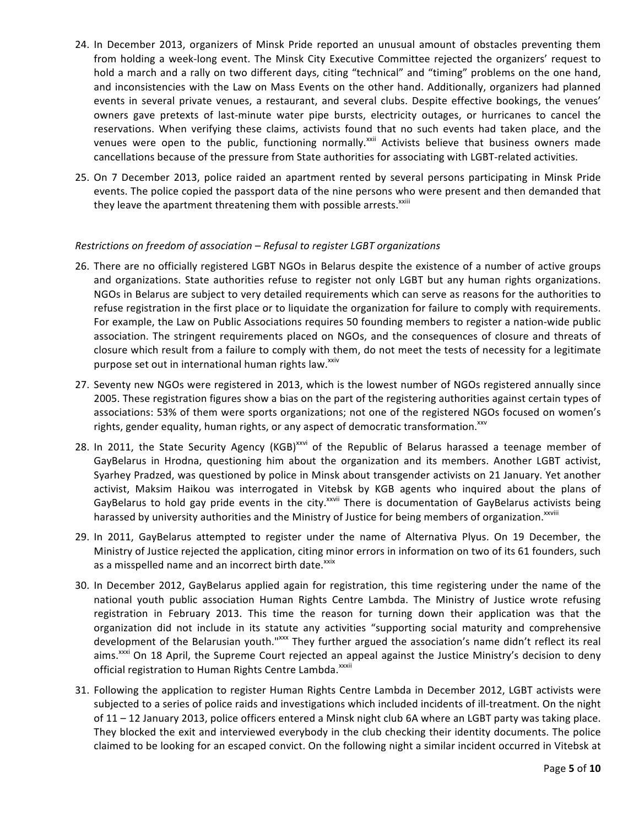- 24. In December 2013, organizers of Minsk Pride reported an unusual amount of obstacles preventing them from holding a week-long event. The Minsk City Executive Committee rejected the organizers' request to hold a march and a rally on two different days, citing "technical" and "timing" problems on the one hand, and inconsistencies with the Law on Mass Events on the other hand. Additionally, organizers had planned events in several private venues, a restaurant, and several clubs. Despite effective bookings, the venues' owners gave pretexts of last-minute water pipe bursts, electricity outages, or hurricanes to cancel the reservations. When verifying these claims, activists found that no such events had taken place, and the venues were open to the public, functioning normally.<sup>xxii</sup> Activists believe that business owners made cancellations because of the pressure from State authorities for associating with LGBT-related activities.
- 25. On 7 December 2013, police raided an apartment rented by several persons participating in Minsk Pride events. The police copied the passport data of the nine persons who were present and then demanded that they leave the apartment threatening them with possible arrests.<sup>xxiii</sup>

#### *Restrictions on freedom of association – Refusal to register LGBT organizations*

- 26. There are no officially registered LGBT NGOs in Belarus despite the existence of a number of active groups and organizations. State authorities refuse to register not only LGBT but any human rights organizations. NGOs in Belarus are subject to very detailed requirements which can serve as reasons for the authorities to refuse registration in the first place or to liquidate the organization for failure to comply with requirements. For example, the Law on Public Associations requires 50 founding members to register a nation-wide public association. The stringent requirements placed on NGOs, and the consequences of closure and threats of closure which result from a failure to comply with them, do not meet the tests of necessity for a legitimate purpose set out in international human rights law.<sup>xxiv</sup>
- 27. Seventy new NGOs were registered in 2013, which is the lowest number of NGOs registered annually since 2005. These registration figures show a bias on the part of the registering authorities against certain types of associations: 53% of them were sports organizations; not one of the registered NGOs focused on women's rights, gender equality, human rights, or any aspect of democratic transformation.<sup>xxv</sup>
- 28. In 2011, the State Security Agency (KGB)<sup>xxvi</sup> of the Republic of Belarus harassed a teenage member of GayBelarus in Hrodna, questioning him about the organization and its members. Another LGBT activist, Syarhey Pradzed, was questioned by police in Minsk about transgender activists on 21 January. Yet another activist, Maksim Haikou was interrogated in Vitebsk by KGB agents who inquired about the plans of GayBelarus to hold gay pride events in the city.<sup>xxvii</sup> There is documentation of GayBelarus activists being harassed by university authorities and the Ministry of Justice for being members of organization.<sup>xxviii</sup>
- 29. In 2011, GayBelarus attempted to register under the name of Alternativa Plyus. On 19 December, the Ministry of Justice rejected the application, citing minor errors in information on two of its 61 founders, such as a misspelled name and an incorrect birth date.<sup>xxix</sup>
- 30. In December 2012, GayBelarus applied again for registration, this time registering under the name of the national youth public association Human Rights Centre Lambda. The Ministry of Justice wrote refusing registration in February 2013. This time the reason for turning down their application was that the organization did not include in its statute any activities "supporting social maturity and comprehensive development of the Belarusian youth."xxx They further argued the association's name didn't reflect its real aims.<sup>xxxi</sup> On 18 April, the Supreme Court rejected an appeal against the Justice Ministry's decision to deny official registration to Human Rights Centre Lambda.<sup>xxxii</sup>
- 31. Following the application to register Human Rights Centre Lambda in December 2012, LGBT activists were subjected to a series of police raids and investigations which included incidents of ill-treatment. On the night of 11 – 12 January 2013, police officers entered a Minsk night club 6A where an LGBT party was taking place. They blocked the exit and interviewed everybody in the club checking their identity documents. The police claimed to be looking for an escaped convict. On the following night a similar incident occurred in Vitebsk at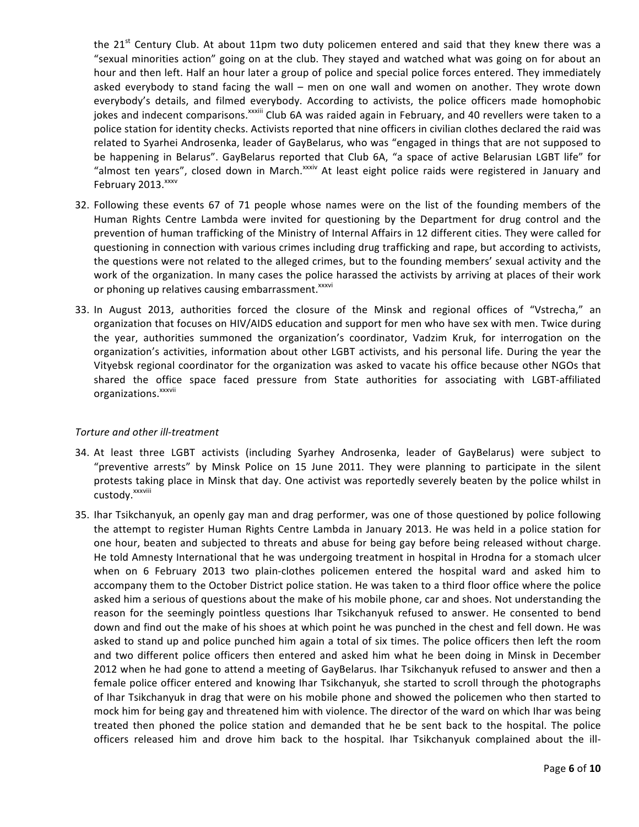the  $21^{st}$  Century Club. At about 11pm two duty policemen entered and said that they knew there was a "sexual minorities action" going on at the club. They stayed and watched what was going on for about an hour and then left. Half an hour later a group of police and special police forces entered. They immediately asked everybody to stand facing the wall – men on one wall and women on another. They wrote down everybody's details, and filmed everybody. According to activists, the police officers made homophobic jokes and indecent comparisons.<sup>xxxiii</sup> Club 6A was raided again in February, and 40 revellers were taken to a police station for identity checks. Activists reported that nine officers in civilian clothes declared the raid was related to Syarhei Androsenka, leader of GayBelarus, who was "engaged in things that are not supposed to be happening in Belarus". GayBelarus reported that Club 6A, "a space of active Belarusian LGBT life" for "almost ten years", closed down in March.<sup>xxxiv</sup> At least eight police raids were registered in January and February 2013. XXXV

- 32. Following these events 67 of 71 people whose names were on the list of the founding members of the Human Rights Centre Lambda were invited for questioning by the Department for drug control and the prevention of human trafficking of the Ministry of Internal Affairs in 12 different cities. They were called for questioning in connection with various crimes including drug trafficking and rape, but according to activists, the questions were not related to the alleged crimes, but to the founding members' sexual activity and the work of the organization. In many cases the police harassed the activists by arriving at places of their work or phoning up relatives causing embarrassment.<sup>xxxvi</sup>
- 33. In August 2013, authorities forced the closure of the Minsk and regional offices of "Vstrecha," an organization that focuses on HIV/AIDS education and support for men who have sex with men. Twice during the year, authorities summoned the organization's coordinator, Vadzim Kruk, for interrogation on the organization's activities, information about other LGBT activists, and his personal life. During the year the Vityebsk regional coordinator for the organization was asked to vacate his office because other NGOs that shared the office space faced pressure from State authorities for associating with LGBT-affiliated organizations.<sup>xxxvii</sup>

#### *Torture and other ill-treatment*

- 34. At least three LGBT activists (including Syarhey Androsenka, leader of GayBelarus) were subject to "preventive arrests" by Minsk Police on 15 June 2011. They were planning to participate in the silent protests taking place in Minsk that day. One activist was reportedly severely beaten by the police whilst in custody.<sup>xxxviii</sup>
- 35. Ihar Tsikchanyuk, an openly gay man and drag performer, was one of those questioned by police following the attempt to register Human Rights Centre Lambda in January 2013. He was held in a police station for one hour, beaten and subjected to threats and abuse for being gay before being released without charge. He told Amnesty International that he was undergoing treatment in hospital in Hrodna for a stomach ulcer when on 6 February 2013 two plain-clothes policemen entered the hospital ward and asked him to accompany them to the October District police station. He was taken to a third floor office where the police asked him a serious of questions about the make of his mobile phone, car and shoes. Not understanding the reason for the seemingly pointless questions Ihar Tsikchanyuk refused to answer. He consented to bend down and find out the make of his shoes at which point he was punched in the chest and fell down. He was asked to stand up and police punched him again a total of six times. The police officers then left the room and two different police officers then entered and asked him what he been doing in Minsk in December 2012 when he had gone to attend a meeting of GayBelarus. Ihar Tsikchanyuk refused to answer and then a female police officer entered and knowing Ihar Tsikchanyuk, she started to scroll through the photographs of Ihar Tsikchanyuk in drag that were on his mobile phone and showed the policemen who then started to mock him for being gay and threatened him with violence. The director of the ward on which Ihar was being treated then phoned the police station and demanded that he be sent back to the hospital. The police officers released him and drove him back to the hospital. Ihar Tsikchanyuk complained about the ill-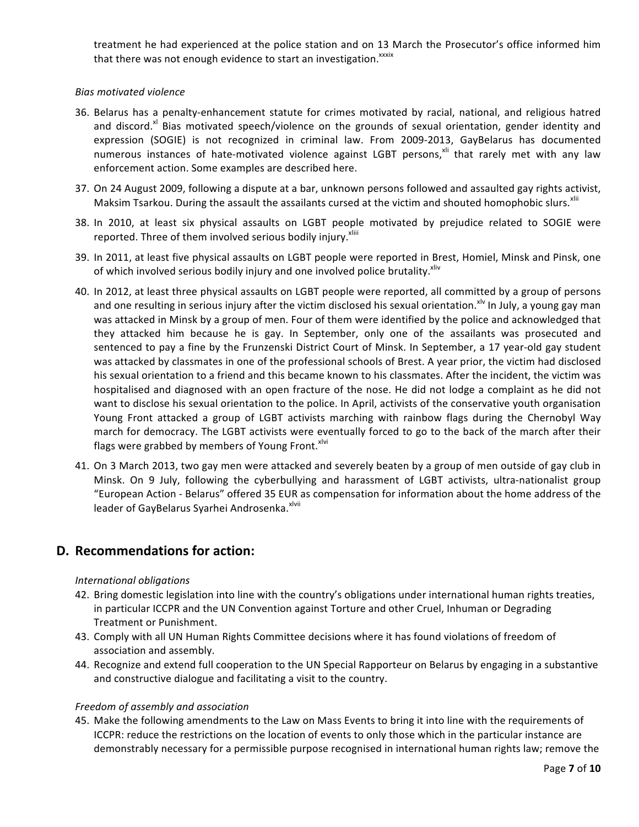treatment he had experienced at the police station and on 13 March the Prosecutor's office informed him that there was not enough evidence to start an investigation.<sup>xxxix</sup>

#### *Bias motivated violence*

- 36. Belarus has a penalty-enhancement statute for crimes motivated by racial, national, and religious hatred and discord.<sup>xl</sup> Bias motivated speech/violence on the grounds of sexual orientation, gender identity and expression (SOGIE) is not recognized in criminal law. From 2009-2013, GayBelarus has documented numerous instances of hate-motivated violence against LGBT persons,<sup>xii</sup> that rarely met with any law enforcement action. Some examples are described here.
- 37. On 24 August 2009, following a dispute at a bar, unknown persons followed and assaulted gay rights activist, Maksim Tsarkou. During the assault the assailants cursed at the victim and shouted homophobic slurs.<sup>xiii</sup>
- 38. In 2010, at least six physical assaults on LGBT people motivated by prejudice related to SOGIE were reported. Three of them involved serious bodily injury.<sup>xliii</sup>
- 39. In 2011, at least five physical assaults on LGBT people were reported in Brest, Homiel, Minsk and Pinsk, one of which involved serious bodily injury and one involved police brutality.<sup>xliv</sup>
- 40. In 2012, at least three physical assaults on LGBT people were reported, all committed by a group of persons and one resulting in serious injury after the victim disclosed his sexual orientation.<sup>xly</sup> In July, a young gay man was attacked in Minsk by a group of men. Four of them were identified by the police and acknowledged that they attacked him because he is gay. In September, only one of the assailants was prosecuted and sentenced to pay a fine by the Frunzenski District Court of Minsk. In September, a 17 year-old gay student was attacked by classmates in one of the professional schools of Brest. A year prior, the victim had disclosed his sexual orientation to a friend and this became known to his classmates. After the incident, the victim was hospitalised and diagnosed with an open fracture of the nose. He did not lodge a complaint as he did not want to disclose his sexual orientation to the police. In April, activists of the conservative youth organisation Young Front attacked a group of LGBT activists marching with rainbow flags during the Chernobyl Way march for democracy. The LGBT activists were eventually forced to go to the back of the march after their flags were grabbed by members of Young Front.<sup>xlvi</sup>
- 41. On 3 March 2013, two gay men were attacked and severely beaten by a group of men outside of gay club in Minsk. On 9 July, following the cyberbullying and harassment of LGBT activists, ultra-nationalist group "European Action - Belarus" offered 35 EUR as compensation for information about the home address of the leader of GayBelarus Syarhei Androsenka.<sup>xivii</sup>

# **D. Recommendations for action:**

#### *International obligations*

- 42. Bring domestic legislation into line with the country's obligations under international human rights treaties, in particular ICCPR and the UN Convention against Torture and other Cruel, Inhuman or Degrading Treatment or Punishment.
- 43. Comply with all UN Human Rights Committee decisions where it has found violations of freedom of association and assembly.
- 44. Recognize and extend full cooperation to the UN Special Rapporteur on Belarus by engaging in a substantive and constructive dialogue and facilitating a visit to the country.

#### *Freedom of assembly and association*

45. Make the following amendments to the Law on Mass Events to bring it into line with the requirements of ICCPR: reduce the restrictions on the location of events to only those which in the particular instance are demonstrably necessary for a permissible purpose recognised in international human rights law; remove the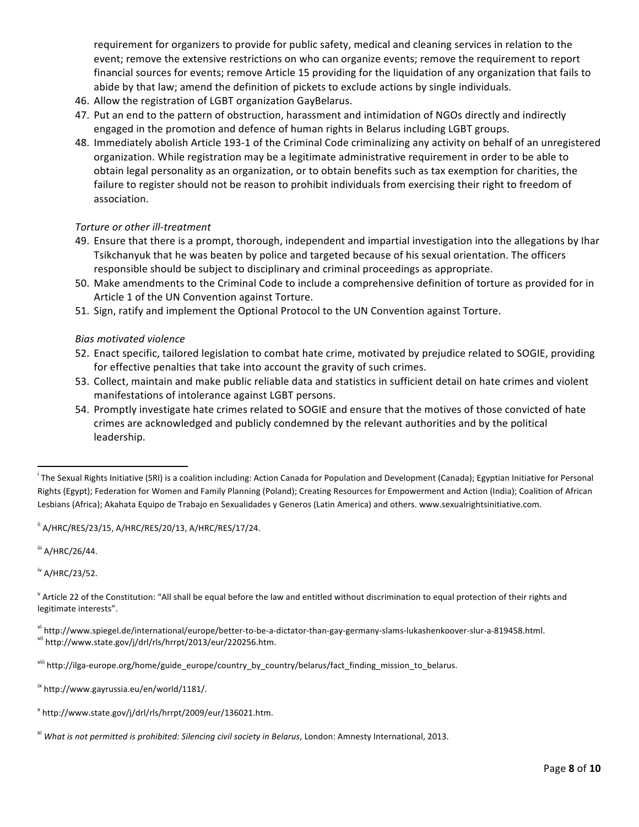requirement for organizers to provide for public safety, medical and cleaning services in relation to the event; remove the extensive restrictions on who can organize events; remove the requirement to report financial sources for events; remove Article 15 providing for the liquidation of any organization that fails to abide by that law; amend the definition of pickets to exclude actions by single individuals.

- 46. Allow the registration of LGBT organization GayBelarus.
- 47. Put an end to the pattern of obstruction, harassment and intimidation of NGOs directly and indirectly engaged in the promotion and defence of human rights in Belarus including LGBT groups.
- 48. Immediately abolish Article 193-1 of the Criminal Code criminalizing any activity on behalf of an unregistered organization. While registration may be a legitimate administrative requirement in order to be able to obtain legal personality as an organization, or to obtain benefits such as tax exemption for charities, the failure to register should not be reason to prohibit individuals from exercising their right to freedom of association.

## *Torture or other ill-treatment*

- 49. Ensure that there is a prompt, thorough, independent and impartial investigation into the allegations by Ihar Tsikchanyuk that he was beaten by police and targeted because of his sexual orientation. The officers responsible should be subject to disciplinary and criminal proceedings as appropriate.
- 50. Make amendments to the Criminal Code to include a comprehensive definition of torture as provided for in Article 1 of the UN Convention against Torture.
- 51. Sign, ratify and implement the Optional Protocol to the UN Convention against Torture.

## *Bias motivated violence*

- 52. Enact specific, tailored legislation to combat hate crime, motivated by prejudice related to SOGIE, providing for effective penalties that take into account the gravity of such crimes.
- 53. Collect, maintain and make public reliable data and statistics in sufficient detail on hate crimes and violent manifestations of intolerance against LGBT persons.
- 54. Promptly investigate hate crimes related to SOGIE and ensure that the motives of those convicted of hate crimes are acknowledged and publicly condemned by the relevant authorities and by the political leadership.

 $^{\text{ii}}$  A/HRC/RES/23/15, A/HRC/RES/20/13, A/HRC/RES/17/24.

iii A/HRC/26/44.

iv A/HRC/23/52.

 $V$  Article 22 of the Constitution: "All shall be equal before the law and entitled without discrimination to equal protection of their rights and legitimate interests".

<sup>vi</sup>http://www.spiegel.de/international/europe/better-to-be-a-dictator-than-gay-germany-slams-lukashenkoover-slur-a-819458.html.<br><sup>vii</sup>http://www.state.gov/j/drl/rls/hrrpt/2013/eur/220256.htm.

in The Sexual Rights Initiative (SRI) is a coalition including: Action Canada for Population and Development (Canada); Egyptian Initiative for Personal (The Sexual Rights Initiative for Personal Rights (Egypt); Federation for Women and Family Planning (Poland); Creating Resources for Empowerment and Action (India); Coalition of African Lesbians (Africa); Akahata Equipo de Trabajo en Sexualidades y Generos (Latin America) and others. www.sexualrightsinitiative.com.

viii http://ilga-europe.org/home/guide\_europe/country\_by\_country/belarus/fact\_finding\_mission\_to\_belarus.

ix http://www.gayrussia.eu/en/world/1181/.

<sup>x</sup> http://www.state.gov/j/drl/rls/hrrpt/2009/eur/136021.htm.

<sup>&</sup>lt;sup>xi</sup> What is not permitted is prohibited: Silencing civil society in Belarus, London: Amnesty International, 2013.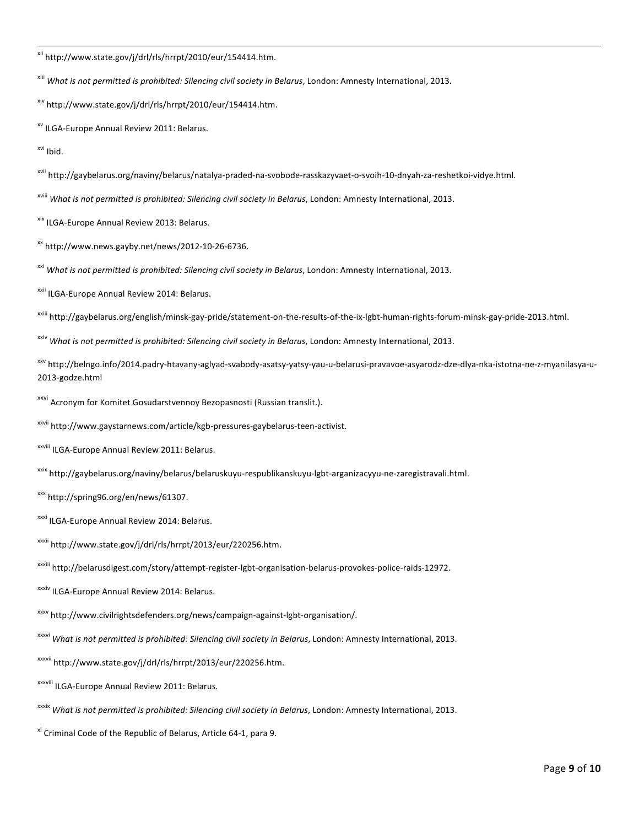xii http://www.state.gov/j/drl/rls/hrrpt/2010/eur/154414.htm.

<sup>xiii</sup> What is not permitted is prohibited: Silencing civil society in Belarus, London: Amnesty International, 2013.

xiv http://www.state.gov/j/drl/rls/hrrpt/2010/eur/154414.htm.

<sup>xv</sup> ILGA-Europe Annual Review 2011: Belarus.

xvi Ibid.

xvii http://gaybelarus.org/naviny/belarus/natalya-praded-na-svobode-rasskazyvaet-o-svoih-10-dnyah-za-reshetkoi-vidye.html.

<sup>xviii</sup> What is not permitted is prohibited: Silencing civil society in Belarus, London: Amnesty International, 2013.

xix ILGA-Europe Annual Review 2013: Belarus.

 $\frac{xx}{x}$ http://www.news.gayby.net/news/2012-10-26-6736.

<sup>xxi</sup> What is not permitted is prohibited: Silencing civil society in Belarus, London: Amnesty International, 2013.

xxii ILGA-Europe Annual Review 2014: Belarus.

xxiii http://gaybelarus.org/english/minsk-gay-pride/statement-on-the-results-of-the-ix-lgbt-human-rights-forum-minsk-gay-pride-2013.html.

<sup>xxiv</sup> What is not permitted is prohibited: Silencing civil society in Belarus, London: Amnesty International, 2013.

xxv http://belngo.info/2014.padry-htavany-aglyad-svabody-asatsy-yatsy-yau-u-belarusi-pravavoe-asyarodz-dze-dlya-nka-istotna-ne-z-myanilasya-u-2013-godze.html

xxvi Acronym for Komitet Gosudarstvennoy Bezopasnosti (Russian translit.).

xxvii http://www.gaystarnews.com/article/kgb-pressures-gaybelarus-teen-activist.

xxviii ILGA-Europe Annual Review 2011: Belarus.

xxix http://gaybelarus.org/naviny/belarus/belaruskuyu-respublikanskuyu-lgbt-arganizacyyu-ne-zaregistravali.html.

xxx http://spring96.org/en/news/61307. 

xxxi ILGA-Europe Annual Review 2014: Belarus.

xxxii http://www.state.gov/j/drl/rls/hrrpt/2013/eur/220256.htm.

xxxiii http://belarusdigest.com/story/attempt-register-lgbt-organisation-belarus-provokes-police-raids-12972. 

xxxiv ILGA-Europe Annual Review 2014: Belarus.

xxxv http://www.civilrightsdefenders.org/news/campaign-against-lgbt-organisation/. 

<sup>xxxvi</sup> What is not permitted is prohibited: Silencing civil society in Belarus, London: Amnesty International, 2013.

xxxvii http://www.state.gov/j/drl/rls/hrrpt/2013/eur/220256.htm.

xxxviii ILGA-Europe Annual Review 2011: Belarus.

<sup>xxxix</sup> *What is not permitted is prohibited: Silencing civil society in Belarus*, London: Amnesty International, 2013.

 $x$ <sup>l</sup> Criminal Code of the Republic of Belarus, Article 64-1, para 9.